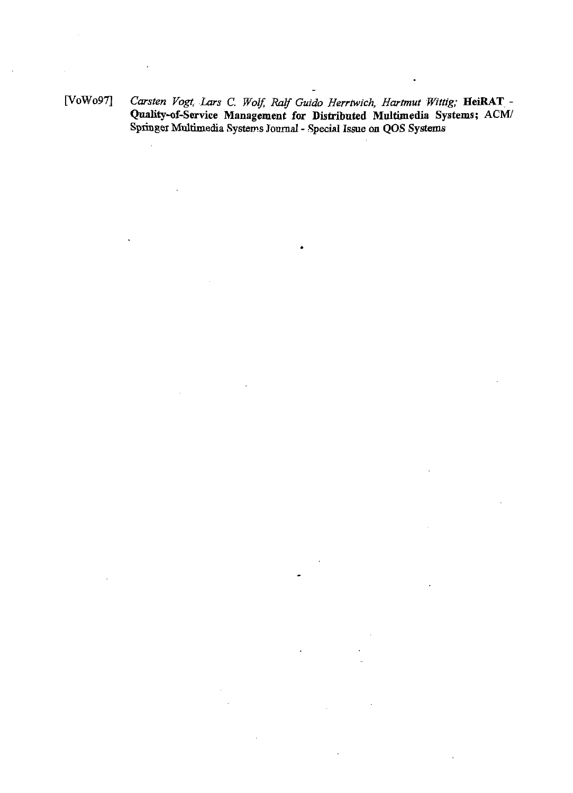**~0~~0971** *Carsten Vogt,* Lars *C. WOK Raf Gurdo Herrtwrch, Harfmut Wrttfg;* **HeiRAT** - **Quality-of-Service Management for Distributed Multimedia Systems; ACM Springer Multimedia Systems Journal** - **Special Issue an QOS Systems** 

 $\mathcal{A}$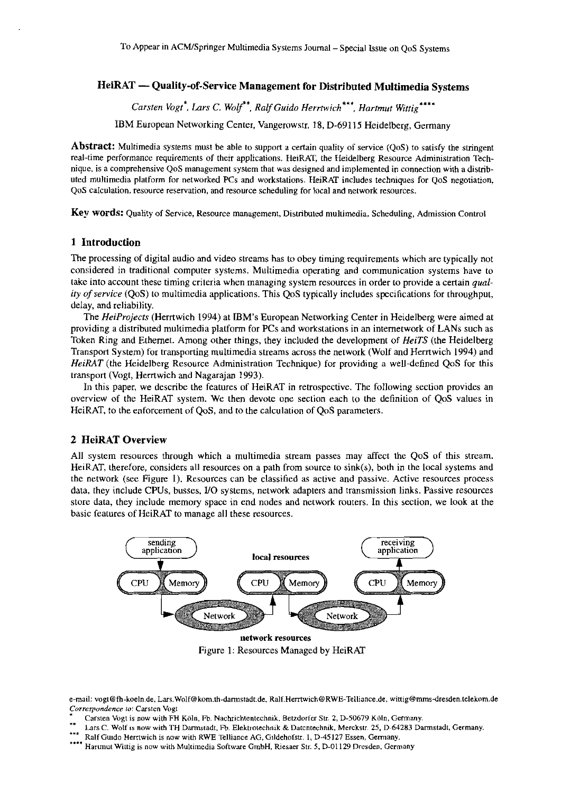# **HeiRAT** - **Quality-of-Service Management for Distributed Multimedia Systems**

*Carsten Vogt<sup>\*</sup>, Lars C. Wolf<sup>\*\*</sup>, Ralf Guido Herrtwich*\*\*\*, Hartmut Wittig\*\*\*\*

IBM European Networking Center, Vangerowstr. 18, D-69115 Heidelberg, Germany

Abstract: Multimedia systems must be able to support a certain quality of service (QoS) to satisfy the stringent real-time performance requirements of their applications. HeiRAT, the Heidelberg Resource Administration Technique, is a comprehensive QoS management system that was designed and implemented in connection with a distributed multimedia platform for networked PCs and workstations. HeiRAT includes techniques for QoS negotiation, QoS calculation, resource resewation, and resource scheduling for local and network resources.

**Key words:** Quality of Service, Resource management, Distributed multimedia, Scheduling, Admission Control

# **1 Introduction**

The processing of digital audio and video streams has to obey timing requirements which are typically not considered in traditional computer systems. Multimedia operating and communication systems have to take into account these timing criteria when managing system resources in order to provide *a* cettain *qual***iry** *of sewice* (QoS) to multimedia applications. This QoS typically includes specifications for throughput, delay, and reliability.

The *HeiProjects* (Herttwich 1994) at IBM's European Networking Center in Heidelberg were aimed at providing a distributed multimedia platfom for PCs and workstations in an intemetwork of LANs such as Token Ring and Ethemet. Among other things, they included the development of *HeiTS* (the Heidelberg Transport System) for transporting multimedia streams across the network (Wolf and Herttwich 1994) and *HeiRAT* (the Heidelberg Resource Administration Technique) for providing a well-defined QoS for this transport (Vogt, Herrtwich and Nagarajan 1993).

In this paper, we describe the features of HeiRAT in retrospective. The following section provides an overview of the HeiRAT system. We then devote one section each to the definition of QoS values in HeiRAT, to the enforcement of QoS, and to the calculation of QoS parameters.

## **2 HeiRAT Overview**

All system resources through which a multimedia stream passes may affect the QoS of this stream. HeiRAT, therefore, considers all resources on a path from source to sink(s), both in the local systems and the network (see Figure 1). Resources can be classified as active and passive. Active resources process data, they include CPUs, busses, *V0* systems, network adapters and transmission links. Passive resources store data, they include memory space in end nodes and network routers. In this section, we look at the basic features of HeiRAT to manage all these resources.



Figure 1: Resources Managed by HeiRAT

- Carsten Vogt is now with FH Köln, Fb. Nachrichtentechnik. Betzdorfer Str. 2, D-50679 Köln, Germany.
- Lars C. Wolf is now with TH Darmstadt, Fb. Elektrotechnik & Datcntechnik, Merckstr. 25, D-64283 Darmstadt, Germany.
- Ralf Guido Herrtwich is now with RWE Telliance AG, Gildehofstr. 1, D-45127 Essen, Germany.<br>Harimut Wittig is now with Multimedia Software GmbH, Riesaer Str. 5, D-01129 Dresden, Germany

e-mail: vogt@fh-koeln.de, Lars.Wolf@kom.th-darmstadt.de, Ralf.Herrtwich@RWE-Telliance.de, wittig@mms-dresden.telekom.de *Correqwndence to:* **Carsren** Vogt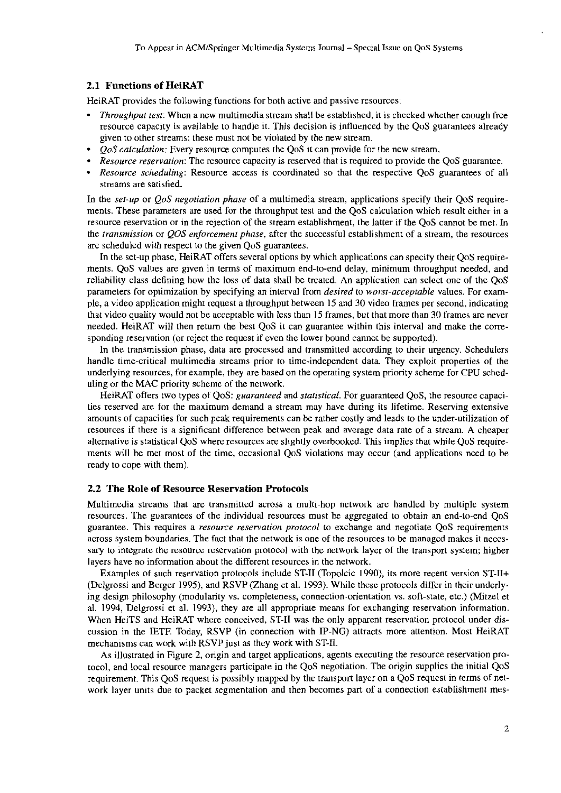# **2.1 Functions of HeiRAT**

HeiRAT provides the following functions for both active and passive resources:

- *Throughput fest:* When a new multimedia stream shall be established, it is checked whether enough fiee resource capacity is available to handle it. This decision is influenced by the QoS guarantees already given to other streams; these must not be violated by the new stream.
- . *QoS calculation:* Every resource computes the QoS it can provide Eor the new stream.
- *Resource reservation:* The resource capacity is resewed that is required to provide the QoS guarantee.
- *Resource scheduling:* Resource access is coordinated so that the respective QoS guarantees of all streams are satisfied.

In the *set-up* or *QoS negotiation phase* of a multimedia stream, applications specify their QoS requirements. These parameters are used for the throughput test and the QoS calculation which result either in a resource resewation or in the rejection of the stream establishment, the latter if the QoS cannot be met. In the *transmission* or QOS *enforcement phase,* after the successful estahlishment of a stream, the resources are scheduled with respect to the given QoS guarantees.

In the set-up phase, HeiRAT offers several options by which applications can specify their QoS requirements. QoS values are given in terms of maximum end-to-end delay, minimum throughput needed, and reliability class defining how the loss of data shall be treated. An application can select one of the QoS parameters for optimization by specifying an interval from *desired* to *worst-acceptable* values. For example, a video application might request a throughput between 15 and 30 video frames per second. indicating that video quality would not be acceptahle with less than 15 frames, but that more than 30 frames are never needed. HeiRAT will then return the best QoS it can guarantee within this interval and make the corresponding reservation (or reject the request if even the lower bound cannot be supported).

In the transmission phase, data are processed and transmitted according to their urgency. Schedulers handle time-critical multimedia streams prior to time-independent data. They exploit propenies of the underlying resources, for example, they are based on the operating system priority scheme for CPU scheduling or the MAC priority scheme of the network.

HeiRAT offers two types of QoS: *guaranteed* and *statistical.* For guaranteed QoS, the resource capacities reserved are for the maximum demand a stream may have during its lifetime. Reserving extensive amounts of capacities for such peak requirements can he rather costly and leads to the under-utilization of resources if there is a significant difference between peak and average data rate of a stream. A cheaper alternative is statistical QoS where resources are slightly overbooked. This implies that while QoS requirements will be met most of the time, occasional QoS violations may occur (and applications need to be ready to cope with them).

### **2.2 The Role of Resource Reservation Protocols**

Multimedia streams that are transmitted across a multi-hop network are handled by multiple system resources. The guarantees of the individual resources must be aggregated to obtain an end-to-end QoS guarantee. This requires a *resource reservalion protocol* to exchange and negotiate QoS requirements across system boundaries. The fact that the network is one of the resources to he managed makes it necessary to integrate the resource reservation protocol with the network layer of the transport system; higher layers have no information about the different resources in the network.

Examples of such reservation protocols include ST-I1 (Topolcic 1990), its more recent version ST-U+ (Delgrossi and Berger 1995), and RSVP (Zhang et al. 1993). While these protocols differ in their underlying design philosophy (modularity vs. completeness, connection-orientation vs. soft-state, etc.) (Mitzel et al. 1994, Delgrossi et al. 1993), they are all appropriate means for exchanging reservation information. When HeiTS and HeiKAT where conceived, ST-I1 was the only apparent reservation protocol under discussion in the IETF. Today, RSVP (in connection with IP-NG) attracts more attention. Most HeiRAT mechanisms can work with RSVP just as they work with ST-U.

As illustrated in Figure 2, origin and target appIications, agents executing the resource reservation protocol, and local resource managers participate in the QoS negotiation. The origin supplies the initial QoS requirement. This QoS request is possibly mapped by the transport layer on a QoS request in terms of network layer units due to packet segmentation and then hecomes patt of a connection estahlishment mes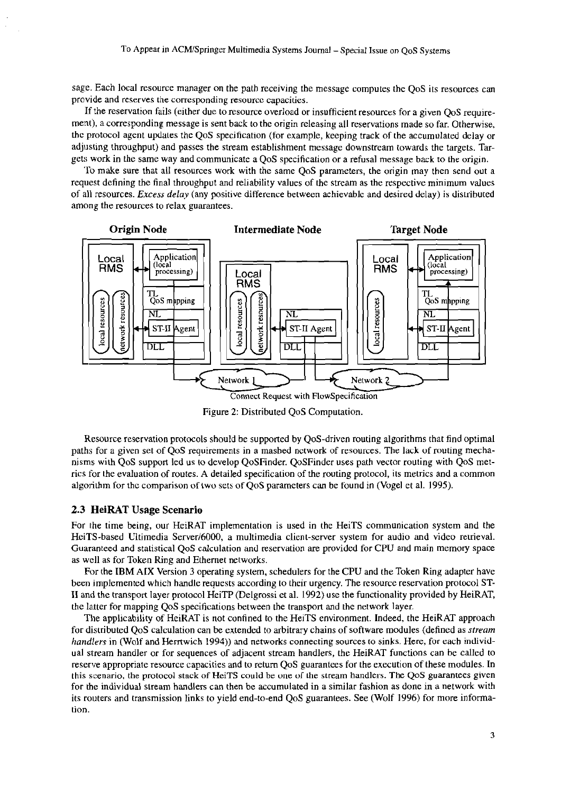sage. Each local resource manager on the path receiving the message computes the QoS its resources can provide and reserves the corresponding resource capacities.

If the reservation fails (either due to resource overload or insufficient resources for a given QoS requirement), a corresponding message is sent back to the origin releasing all reservations made so far. Otherwise, thc protocol agent updales the QoS specification (for example, keeping track of the accumulated delay or adjusting throughput) and passes the stream establishment message downstream towards the targets. Targets work in the same way and communicate a OoS specification or a refusal message back to the origin.

'To make sure that all resources work with the same QoS parameters, the origin may then send out a request defining the final throughput and reliability values of the stream as the respective minimum values of all resources. *Excess delay* (any positive differente between achievablc and desired delay) is disuibuted among the resources to relax guarantees.



Figure 2: Distributed QoS Computation.

R.esource reservation protocols should be supported by QoS-driven routing algorithms that find optimal paths for a given set of QoS requirements in a mashed nctwork of resources. The lack of routing mechanisms with QoS support led us to develop QoSFinder. QoSFinder uses path vector routing with QoS metrics for the evaluation of routes. A detailed specification of the routing protocol, its metrics and a common algorithm for the comparison of two sets of QoS parameters can be found in (Vogel et al. 1995).

# **2.3 HeiRAT Usage Scenario**

For ihe time being, our HeiRAT implementation is used in the HeiTS communication system and the HeiTS-based Ultimedia Server/6000, a multimedia client-server system for audio and video retrieval. Guaranteed and statistical QoS calculation and reservation are provided for CPU and main memory space as well as for Token Ring and Ethernet networks.

For the IBM AIX Version 3 operating system, schedulers for the CPU and the Token Ring adapter have been implemented which handle requests according to their urgency. The resource reservation protocol ST-11 anci the transport layer protocol HeiTP (Delgrossi et al. 1992) use the functionality provided by HeiRAT, the laitter for mapping QoS specifications between the transport and the network layer.

The applicability of HeiRAT is not confined to the HeiTS environment. Indeed, the HeiRAT approach for distributed QoS calculation can be extended to arbitrary chains of software modules (defined as *stream handlers* in (Wolf and Herrtwich 1994)) and networks connecting sources to sinks. Here, for each individual stream handler or for sequences of adjacent stream handlers, the HeiRAT functions can be called to reserve appropriate resource capacities and to return QoS guarantees for the execution of these modules. In this scenario, the protocol stack of HeiTS could be one of the stream handlers. The QoS guarantees given for the individual stream handlers can then be accumulated in a similar fashion as done in a network with its routers and transmission links to yield end-to-end OoS guarantees. See (Wolf 1996) for more information.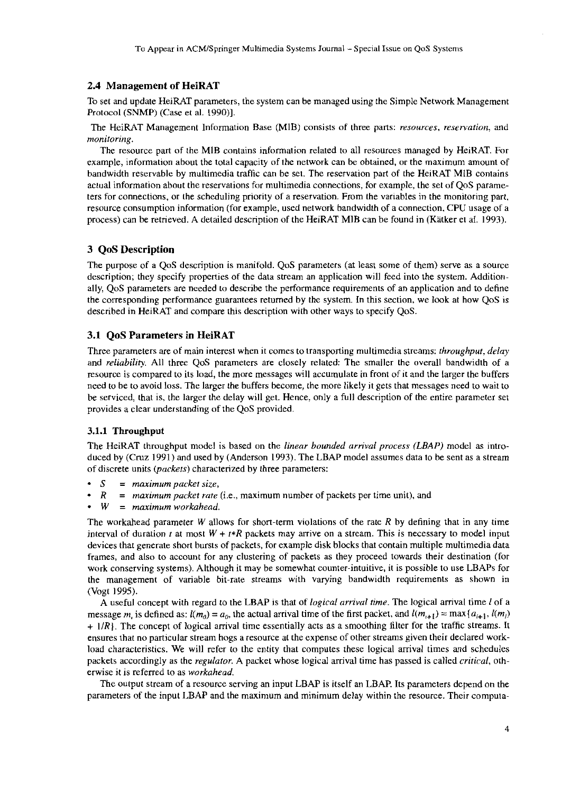### **2.4 Management of HeiRAT**

To Set and update HeiRAT parameters, the system can he managed using the Simple Network Management Protocol (SNMP) (Case et al. 1990)).

The HeiRAT Management Information Base (MIB) consists of three parts: *resources, reservation*, and monitoring.

The resource part of the M1B contains information related to all resources managed by HeiRAT. For example, information ahout the total capacity of the network can be obtained. or the maximum amount of bandwidth reservahle by multimedia traffic can he Set. The reservation part of the HeiRAT MIB contains actual information about the reservations for multimedia connections, for example, the set of OoS parameters for connections, or the scheduling priority of a reservation. From the variables in the monitoring part. resource consumption information (for example, used network handwidth of a connection, CPU usage of a process) can be retrieved. A detailed description of the HeiRAT MIB can be found in (Kätker et al. 1993).

# **3 QoS Description**

The purpose of a QoS description is manifold. QoS parameters (at least some of them) serve as a source description; they specify properties of the data stream an application will feed into the system. Additionally, OoS parameters are needed to describe the performance requirements of an application and to define the corresponding performance guarantees retumed by the system. In this section, we look at how QoS is described in HeiRAT and compare this description with other ways to specify QoS.

### **3.1 QoS Parameters in HeiRAT**

Three parameters are of main interest when it comes to transporting multimedia streams: throughput, delay and reliability. All three QoS parameters are closely related: The smaller the overall bandwidth of a resource is compared to its Iod, the more messages will accumulate in front of it and the larger the huffers need to he to avoid loss. The larger the buffers hecome, the more likely it gets that messages need to wait to be serviced, that is, the larger the delay will get. Hence: only a full description of the entire parameter Set provides a clear understanding of the QoS provided.

#### **3.1.1 Throughput**

The HeiRAT throughput model is based on the *linear bounded arrival process (LBAP)* model as introduced by (Cmz 1991) and used by (Anderson 1993). The LBAP model assumes data to be sent as a stream of discrete units (packets) characterized by three parameters:

- $S = maximum packet size,$ <br>•  $R = maximum packet rate$  $\bullet$
- $R =$  maximum packet rate (i.e., maximum number of packets per time unit), and  $W =$  maximum workshead
- $=$  maximum workahead.

The workahead parameter W allows for short-term violations of the rate  $R$  by defining that in any time interval of duration t at most  $W + t * R$  packets may arrive on a stream. This is necessary to model input devices that generate shorr bursts of packets, for example disk blocks that contain multiple multimedia data frames, and also to account for any clustering of packets as they proceed towards their destination (for work conserving systems). Although it may be somewhat counter-intuitive. it is possible to use LBAPs for the management of variable bit-rate streams with varying bandwidth requirements as shown in (Vogt 1995).

A useful concept with regard to the LBAP is that of logical arrival time. The logical amval time **1** of a message  $m_i$  is defined as:  $l(m_0) = a_0$ , the actual arrival time of the first packet, and  $l(m_{i+1}) = \max\{a_{i+1}, l(m_i)\}$  $+ 1/R$ . The concept of logical arrival time essentially acts as a smoothing filter for the traffic streams. It ensures that no particular stream hogs a resource at the expense of other streams given their declared workload characteristics. We will refer to the entity that computes these logical arrival times and schedules packets accordingly as the *regulator*. A packet whose logical arrival time has passed is called *critical*, otherwise it is referred to as workahead.

The output stream of a resource serving an input LBAP is itself an LBAP. Its parameters depend on the parameters of the input IBAP and the maximum and minimum delay within the resource. Their computa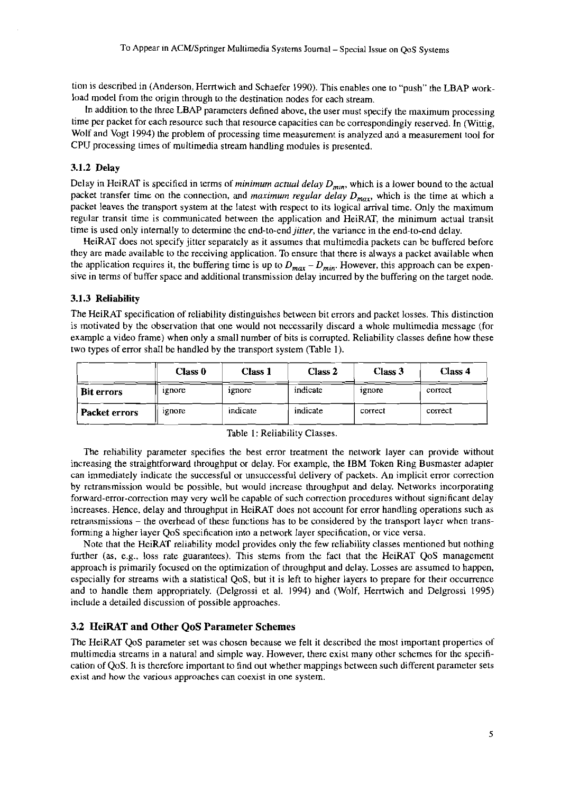tion is described in (Anderson, Herrtwich and Schaefer 1990). This enables one to "push" the LBAP workload model from the origin through to the destination nodes for each stream.

In addition to the ihree LBAP Parameters defined above, the user must specify the maximum processing time per packet for each resource such that resource capacities can be correspondingly reserved. In (Wittig, Wolf and Vogt 1994) the problem of processing time measurement is analyzed and a measurement tool for CPU processing times of multimedia stream handling modules is presented.

# **3.1.2 Delay**

Delay in HeiRAT is specified in terms of *minimum actual delay D<sub>min</sub>*, which is a lower bound to the actual packet transfer time on the connection, and *maximum regular delay*  $D_{max}$ , which is the time at which a packet leaves the transport system at the latest with respect to its logical amival time. Only the maximum regular transit time is communicated between the application and HeiRAT, the minimum actual transit time is used only internally to determine the end-to-end *jitter*, the variance in the end-to-end delay.

HeiRAT does not specify jitter separately as it assumes that multimedia packets can be buffered before they are made available to the receiving application. To ensure that there is always a packet available when the application requires it, the buffering time is up to  $D_{max} - D_{min}$ . However, this approach can be expensive in terms of buffer space and additional transmission delay incurred by the buffering on the target node.

#### **3.1.15 Reliability**

The HeiRAT specification of reliability distinguishes between bit errors and packet losses. This distinction is motivated by the observation that one would not necessarily discard a whole multimedia message (for example a video frame) when only a small number of bits is corrupted. Reliability classes define how these two types of error shall be handled by the transport system (Table 1).

|                      | Class 0 | Class 1  | Class 2                       | Class 3 | Class 4 |
|----------------------|---------|----------|-------------------------------|---------|---------|
| Bit errors           | 1gnore  | 1gnore   | indicate                      | ignore  | correct |
| <b>Packet errors</b> | ignore  | indicate | indicate                      | correct | correct |
|                      |         |          | Table 1: Reliability Classes. |         |         |

Table **1:** Reliability Classes

The reliability parameter specifies the best error treatment the network layer can provide without increasing the straightforward throughput or delay. For example, the IBM Token Ring Busmaster adapter can immediately indicate the successful or unsuccessful delivery of packets. An implicit error correction by rr:transmission would be possible, but would increase throughput and delay. Networks incorporating forward-error-correction may very well be capable of such correction procedures without significant delay increases. Hence, delay and throughput in HeiRAT does not account for error handling operations such as retrainsmissions – the overhead of these functions has to be considered by the transport layer when transfoming a higher layer QoS specification into a network layer specification, or vice versa.

Note that the HeiRAT reliability model provides only the few reliability classes mentioned but nothing further (as, e.g., loss rate guarantees). This stems from the fact that the HeiRAT QoS management approach is primatily focused on the optimization of throughput and delay. Losses are assumed to happen, cspecially for streams with a statistical QoS, but it is left to higher layers to prepare for their occurrence and to handle them appropriately. (Delgrossi et al. 1994) and (Wolf, Herrtwich and Delgrossi 1995) include a detailed discussion of possible approaches.

### **3.2 HeiRAT and Other QoS Parameter Schemes**

The HeiRAT QoS parameter set was chosen because we felt it described the most important properties of multimedia streams in a natural and simple way. However, there exist many other schemes for the specification of QoS. It is therefore important to find out whether mappings between such different parameter sets exist and how the various approaches can coexist in one system.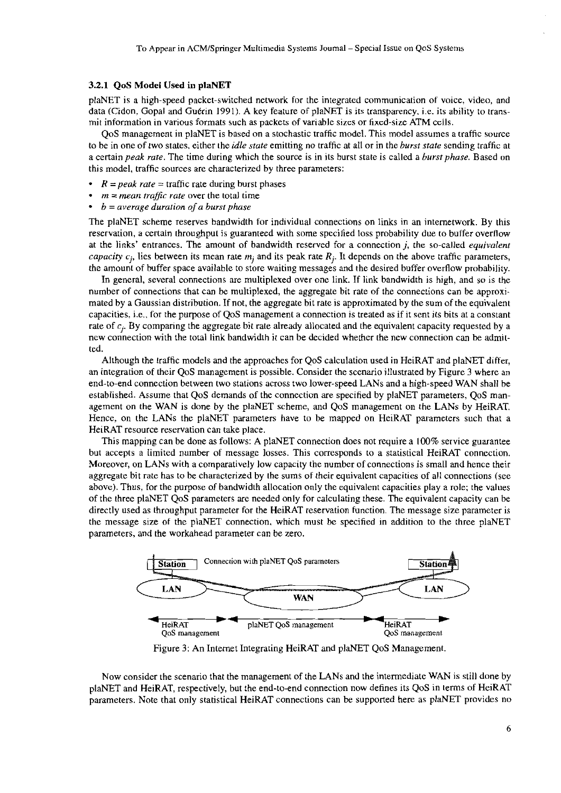### **3.2.1 QoS Model Used in plaNET**

plaNET is a high-speed packet-switched network for the integrated communication of voice. video, and data (Cidon, Gopal and Guérin 1991). A key feature of plaNET is its transparency, i.e. its ability to transmit information in various formats such as packets of variable sizes or fixed-size ATM cells.

QoS management in plaNET is based on a stochastic traffic model. This model assumes a traffic source to be in one of two states. either the *idle state* emitting no traffic at all or in the *burst srate* sending traffic at a certain *peak rate*. The time during which the source is in its burst state is called a *burst phase*. Based on this model, traffic sources are charactenzed by three parameters:

- $R = peak$  rate = traffic rate during burst phases
- $m =$ *mean traffic rate* over the total time
- *b* = *average duration of a bursrphase*

The plaNET scheme reserves bandwidth for individual connections on links in an intemetwork. By this reservation, a certain throughput is guaranteed with some specified loss probability due to buffer overflow at the links' entrances. The amount of bandwidth reserved for a connection j, the so-called *equivalent capacity c<sub>i</sub>*, lies between its mean rate  $m_i$ , and its peak rate  $R_i$ . It depends on the above traffic parameters, the amount of buffer space availahle to store waiting messages and the desired buffer overflow probability.

In general, several connections are multiplexed over one link. If link bandwidth is high, and so is the number of connections that can be multiplexed, the aggregate bit rate of the connections can be approximated by a Gaussian distribution. If not, the aggregate bit rate is approximated by the sum of the equivalent capacities, i.e.. for the purpose of QoS management a connection is treated as if it sent its bits at aconstant rate of  $c_i$ . By comparing the aggregate bit rate already allocated and the equivalent capacity requested by a new connection with the total link bandwidth it can be decided whether the new connection can be admitted.

Although the traffic models and the approaches for QoS calculation used in HeiRAT and plaNET differ, an integration of their QoS management is possible. Consider the scenario iliustrated by Figure 3 where an end-to-end connection between two stations across two lower-speed LANs and a high-speed WAN shall be estahlished. Assume that QoS demands of the connection are specified by plaNET parameters, QoS management on the WAN is done by the pIaNET scheme, and QoS management on the LANs by HeiRAT. Hence, on the LANs the plaNET parameters have to be mapped on HeiRAT parameters such that a HeiRAT resource reservation can take place.

This mapping can be done as follows: A pIaNET connection does not require a 100% service guarantee but accepts a limited number of message Iosses. This corresponds to a statistical HeiRAT connection. Moreover, on LANs with a comparatively low capacity the number of connections is small and hence their aggregate bit rate has to **be** characterized by the sums of their equivalent capacities of all connections (see above). Thus, for the purpose of bandwidth allocation only the equivalent capacities play a role; the values of the three plaNET QoS parameters are needed only for calculating these. The equivalent capacity can be directly used as throughput parameter for the HeiRAT reservation function. The message size parameter is the message size of the plaNET connection. which must he specified in addition to the three plaNET parameters, and the workahead parameter can be zero.



Figure 3: An Intemet Integrating HeiRAT and plaNET QoS Management.

Now consider the scenario that the management of the LANs and the intermediate WAN is still done by plaNET and HeiRAT, respectively, but the end-to-end connection now defines its QoS in terms of HeiRAT parameters. Note that only statistical HeiRAT connections can be supported here as plaNET provides no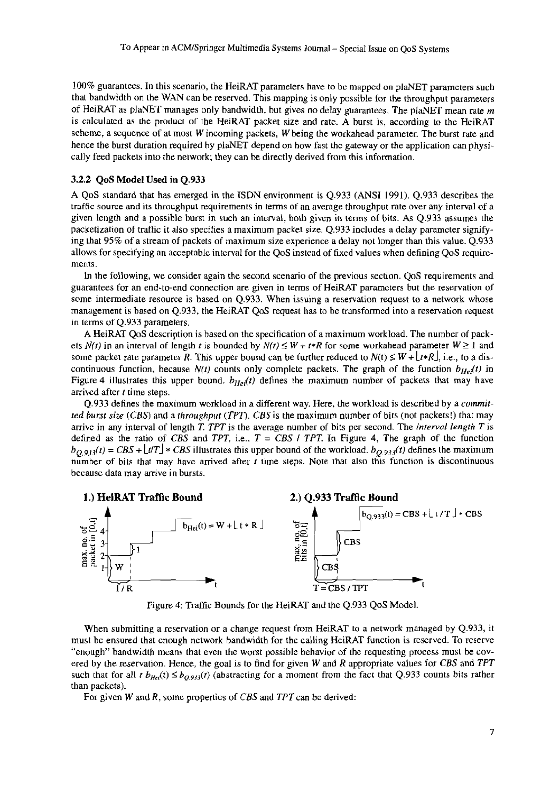100% guarantees. In this scenario, the HeiRAT parameters have to be mapped on plaNET parameters such that bandwidth on the WAN can be reserved. This mapping is only possible for the throughput parameters of HeiRAT as plaNET manages only bandwidth. but gives no delay guarantees. The plaNET mean rate **rn**  is calculated as the produci of the HeiRAT packet size and rate. A burst is, according to the HeiRAT scheme, a sequence of at most W incoming packets, Wbeing the workahead parameter. The burst rate and hence the burst duration required by plaNET depend on how fast the gateway or the application can physically feed packets into the network; they can be directly derived from this infonnation.

### **3.2.2 QoS Model Used in Q.933**

**A** QoS standard that has emerged in the ISDN environment is Q.933 (ANS1 1991). Q.933 describes the traffic source and its throughpui requirements in tenns of an average throughput rate over any interval of a given length and a possible burst in such an interval, both given in terms of bits. As Q.933 assumes the packetization of traffic it also specifies a maximum packet size. Q.933 includes a delay paramcter signifying that 95% of a stream of packets of maximum size experience a delay not longer than this value. Q.933 allows for specifying an acceptahle interval for the QoS instead of fixed values when defining QoS requirements.

In the following, we consider again the second scenario of the previous section. QoS requirements and guarantees for an end-to-end connection are given in terms of HeiRAT paramcters but the reservation of some intermediate resource is based on O.933. When issuing a reservation request to a network whose management is based on Q.933, the HeiRAT QoS request has to be transformed into a reservation request in terms of Q.933 parameters.

**A** HeiRAT QoS description is based on the specification of a maximum workload. The numher of packets  $N(t)$  in an interval of length t is bounded by  $N(t) \leq W + t \cdot R$  for some workahead parameter  $W \geq 1$  and some packet rate parameter R. This upper bound can be further reduced to  $N(t) \leq W + \lfloor t^*R \rfloor$ , i.e., to a discontinuous function, because  $N(t)$  counts only complete packets. The graph of the function  $b_{Hei}(t)$  in Figure 4 illustrates this upper bound.  $b_{Hei}(t)$  defines the maximum number of packets that may have arrived after t time steps.

4.933 defines the maximum workload in a different way. Here, the workload is descrihed by a *commirted burst size* **(CES)** and a *rhroughput (TPT).* **CES** is the maximum number of bits (not packets!) that may arrive in any interval of length **T.** *TPT* is the average numher of hits per second. The interval Iength T is defined as the ratio of **CES** and *TPT.* i.e.. *T* = **CES** *I TPT.* In Figure *4,* The graph of the function  $b_{O,933}(t) = CBS + \lfloor t/T \rfloor * CBS$  illustrates this upper bound of the workload.  $b_{O,933}(t)$  defines the maximum number of bits that may have arrived after *t* time steps. Note that also this function is discontinuous because data may arrive in bursts.



Figura 4: Traffic Bounds for the HeiRAT and the Q.933 QoS Model.

When submitting a reservation or a change request from HeiRAT to a network managed by  $Q.933$ , it must be ensured that enough network bandwidth for the calling HeiRAT function is reserved. To reserve "enough" bandwidth means that even the worst possible hehavior of the requesting process must be covered by ihe reservation. Hence, the goal is to find for given Wand R appropriate values for **CES** and *TPT*  such that for all *t*  $b_{He}(t) \leq b_{Q,933}(t)$  (abstracting for a moment from the fact that Q.933 counts bits rather than packets).

For given Wand **R,** some properties of **CES** and *TPT* can be derived: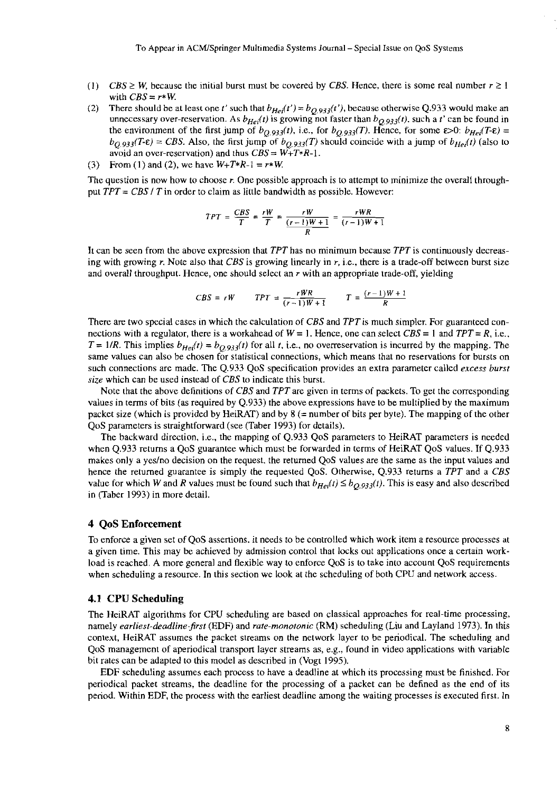- (1)  $CBS \geq W$ , because the initial burst must be covered by CBS. Hence, there is some real number  $r \geq 1$ with  $CBS = r*W$ .
- (2) There should be at least one *t'* such that  $b_{Hei}(t') = b_{O.933}(t')$ , because otherwise Q.933 would make an unnecessary over-reservation. As  $b_{Hei}(t)$  is growing not faster than  $b_{Q,933}(t)$ , such a *t*' can be found in the environment of the first jump of  $b_{O,933}(t)$ , i.e., for  $b_{O,933}(T)$ . Hence, for some  $\epsilon > 0$ :  $b_{Hei}(T-\epsilon) =$  $b_{O,933}(T-\epsilon) = CBS$ . Also, the first jump of  $b_{O,933}(T)$  should coincide with a jump of  $b_{Hei}(t)$  (also to avoid an over-reservation) and thus  $CBS = W+T+R-1$ .
- (3) From (1) and (2), we have  $W + T^*R 1 = r^*W$ .

The question is now how to choose *r*. One possible approach is to attempt to minimize the overall throughput  $TPT = CBS / T$  in order to claim as little bandwidth as possible. However:

$$
TPT = \frac{CBS}{T} = \frac{rW}{T} = \frac{rW}{\frac{(r-1)W+1}{R}} = \frac{rWR}{(r-1)W+1}
$$

It can be seen from the above expression that *TPT* has no minimum because *TPT* is continuously decreasing with growing *r.* Note also that **CBS** is growing linearly in *r,* i.e., there is a trade-off hetween hurst size and overall throughput. Hence, one should select an *r* with an appropriate trade-off. yielding

$$
CBS = rW \qquad TPT = \frac{rWR}{(r-1)W+1} \qquad T = \frac{(r-1)W+1}{R}
$$

There are two special cases in which the calculation of **CBS** and *TPT* is much simpler. For guaranteed connections with a regulator, there is a workahead of  $W = 1$ . Hence, one can select  $CBS = 1$  and  $TPT = R$ , i.e.,  $T = 1/R$ . This implies  $b_{Hei}(t) = b_{O.933}(t)$  for all t, i.e., no overreservation is incurred by the mapping. The same values can also be chosen for statistical connections, which means that no reservations for hursts on such connections are made. The Q.933 QoS specification provides an extra parameter called *excess burst size* which can he used instead of **CBS** to indicate this burst.

Note that the ahove definitions of **CBS** and *TPT* are given in tems of packets. To get the corresponding values in tems of hits **(as** required hy Q.933) the above expressions have tobe multiplied hy the maximum packet size (which is provided by HeiRAT) and by  $8$  (= number of bits per byte). The mapping of the other QoS parameters is straightforward (sec (Taher 1993) for details).

The backward direction. i.e., the mapping of Q.933 QoS parameters to HeiRAT parameters is needed when Q.933 returns a QoS guarantee which must be forwarded in terms of HeiRAT QoS values. If Q.933 makes only a yeslno decision on the request. the retumed QoS values are the same as the input values and hence the returned guarantee is simply the requested QoS. Otherwise, Q.933 returns a *TPT* and a **CBS**  value for which W and R values must be found such that  $b_{Hei}(t) \leq b_{O,933}(t)$ . This is easy and also described in (Taher 1993) in more detail.

#### **4 QoS Enforcement**

To enforce a given set of QoS assertions. it needs to be controlled which work item a resource processes at a given time. This may be achieved by admission control that locks out applications once a certain workload is reached. A more general and flexible way to enforce QoS is to take into account QoS requirements when scheduling a resource. In this section we look at the scheduling of both CPU and network access.

# **4.1 CPU Scheduling**

The HeiRAT algorithms for CPU scheduling are hased on classical approaches for real-time processing, namely *rarliest-dendline-\$rst* (EDF) and *rate-monotonic* (RM) scheduling (Liu and Layland 1973). In this context, HeiRAT assumes the packet streams on the network layer to be periodical. The scheduling and QoS management of aperiodical transport layer streams as, e.g., found in video applications with variable bit rates can be adapted to this model as described in (Vogt 1995).

EDF scheduling assumes each process to have a deadline at which its processing must be finished. For periodical packet streams, the deadline for the processing of a packet can be defined as the end of its period. Within EDF, the process with the earliest deadline among the waiting processes is executed first. In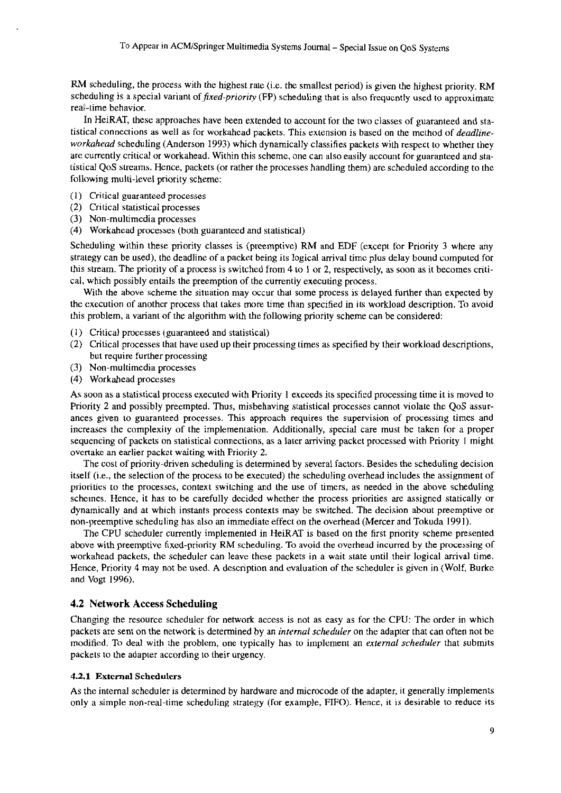RM scheduling, the process with the highest rate (i.e. the smallest period) is given the highest priority. RM scheduling is a special variant of fixed-priority (FP) scheduling that is also frequently used to approximate real-time behavior.

In HeiRAT, these approaches have been extended to account for the two classes of guaranteed and statistical connections as well as for workahead packets. This extension is based on the method of *deadline*workahead scheduling (Anderson 1993) which dynamically classifies packets with respect to whether they are currently critical or workahead. Within this scheme. one can also easily account for guaranteed and statistical QoS sireams. Hence, packets (01 rather the processes handling them) are scheduled according to the following multi-level priority scheme:

- **(1** ) Critical guaranteed processes
- (2) Critical statistical processes
- (3) Non-multimedia processes
- (4) Workahead processes (hoth guaranteed and statistical)

Scheduling within these priority classes is (preemptive) RM and EDF (except for Priority 3 where any strategy can be used), the deadline of a packet being its logical arrival time plus delay bound computed for this stream. The priority of a process is switched from 4 to I or **2,** respectively, as soon as it becomes critical. which possibly entails the preemption of the currently executing process.

With the above scheme the situation may occur that some process is delayed further than expected by the execution of another process that takes more time than specified in its workload description. To avoid this problem, a variant of the algorithm with the following priority scheme can be considered:

- (1) Critical processes (guaranteed and statistical)
- (2) Critical processes that have used up their processing times as specified hy their workload descriptions, but require further processing
- (3) Non-multimedia processes
- (4) Workahead processes

As soon as a statistical process executed with Priority I exceeds its specified processing time it is moved to Priority **2** and possibly preempted. Thus, misbehaving statistical processes cannot violate the QoS assurances given to guaranteed processes. This approach requires the supervision of processing times and increases the complexity of the implementation. Additionally, special care must he taken for a proper sequencing of packets on statistical connections, as a later arriving packet processed with Priority 1 might overtake an earlier packct waiting with Prioriiy **2.** 

The cost of priority-driven scheduling is detemined by several factors. Besides the scheduling decision itself (i.e., the selection of the process tobe executed) the scheduling overhead includes the assignment of priorities to the processes, context switching and the use of timers, as needed in the above scheduling scheines. Hence. it has to he carefully decided whether the process priorities are assigned statically or dynamically and at which instants process contexts may be switched. The decisinn about preemptive or non-preemptive scheduling has also an immediate effect on the overhead (Mercer and Tokuda 1991).

The CPU scheduler currently implemented in HeiRAT is based on the first priority scheme presented above with preemptive fixed-priority RM scheduling. To avoid the overhead incurred by the processing of workahead packets, the scheduler can leave these packets in a wait state until their logical arrival time. Hence, Priority 4 may not be used. A description and evaluation of the scheduler is given in (Wolf, Burke and Vogt 1996).

# **4.2 Network Access Scheduling**

Changing the resource scheduler for network access is not as easy as for the CPU: The order in which packets are sent on the network is determined by an *internal scheduler* on the adapter that can often not be modified. To deal with the problem, one typically has to implement an external scheduler that submits packets to the adapter according to their urgency.

#### **4.2.1 Extcmal Schedulers**

As the intemal scheduler is determined by hardware and microcode of the adapter, it generally implements only a simple non-real-time scheduling strategy (for example, FIFO). Hence, it is desirable to reduce its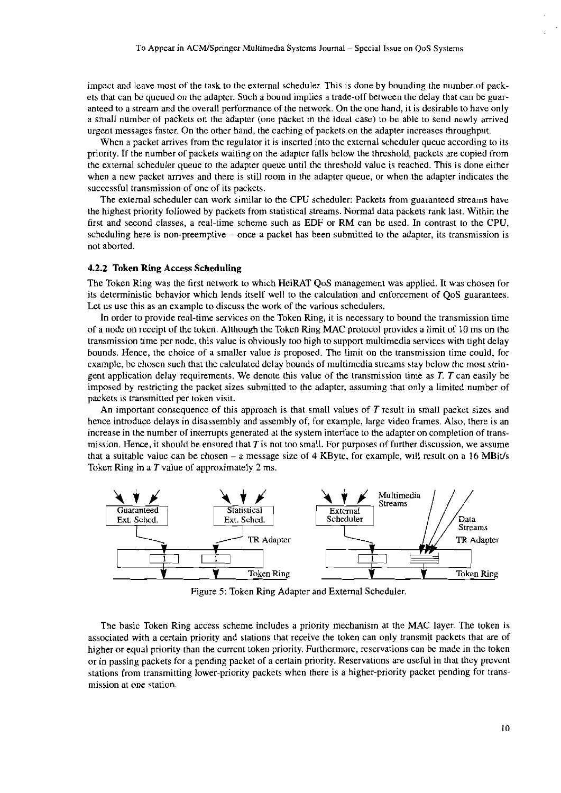impact and leave most oF the task to the extemal scheduler This is done by bounding the number of packets that can be queued on the adapter. Such a bound implies a trade-off between the delay that can be guaranteed to a stream and the overall performance of the network. On the one hand, it is desirable to have only a small number of packets on the adapter (one packet in the ideal case) to be able to send newly arrived urgent messages faster. On the other hand, the caching of packets on the adapter increases throughput.

When a packet arrives from the regulator it is inserted into the external scheduler queue according to its priority. **If** the number of packets waiting on the adapter falls below the threshold, packets are copied from the external scheduler queue to the adapter queue until the threshold value is reached. This is done either when a new packet arrives and there is still room in the adapter queue, or when the adapter indicates the successful transmission of one of its packets.

The extemal scheduler can work similar to the CPU scheduler: Packets from guaranteed streams have the highest priority foliowed by packets from statistical streams. Normal data packets rank last. Within the first and second classes, a real-time scheme such as EDF or RM can be used. In contrast to the CPU, scheduling here is non-preemptive – once a packet has been submitted to the adapter, its transmission is not aborted.

# **4.2.2** Token Ring Access Scheduling

The Token Ring was the first network to which HeiRAT QoS management was applied. It was chosen for its deterministic behavior which lends itself well to the calculation and enforcement of QoS guarantees. Let us use this as an example to discuss the work of the various schedulers.

In order to provide real-time services on the Token Ring, it is necessary to bound the transmission time of a node on receipt of the token. Although the Token Ring MAC protocol provides a limit of 10 ms on the transmission time per node, this value is obviously too high to support multimedia services with tight delay bounds. Hence, the choice of a smaller value is proposed. The limit on the transmission time could, for example, be chosen such that the calculated delay bounds of multimedia streams stay below the most stringent application delay requirements. We denote this value of the transmission time as  $T$ .  $T$  can easily be imposed by restricting the packet sizes submitted to the adapter, assuming that only a limited number of packets is transmitted per token visit.

An important consequence of this approach is that small values of  $T$  result in small packet sizes and hence introduce delays in disassembly and assembly of, for example, large video frames. Also, there is an increase in the number of interrupts generated at the system intetiace to the adapter on completion of transmission. Hence, it should be ensured that  $T$  is not too small. For purposes of further discussion, we assume that a suitable value can be chosen - a message size of 4 KByte, for example, will result on a 16 MBit/s Token Ring in a T value of approximately 2 ms.



Figure 5: Token Ring Adapter and Extemal Scheduler.

The basic Token Ring access scheme includes a priority mechanism at the MAC layer. The token is associated with a certain priority and stations that receive the token can only transmit packets that are of higher or equal priority than the current token priority. Furthermore, reservations can be made in the token or in passing packets for a pending packet of a certain priority. Reservations are useful in that they prevent stations from transmitting lower-priority packets when there is a higher-priority packet pending for transmission at one Station.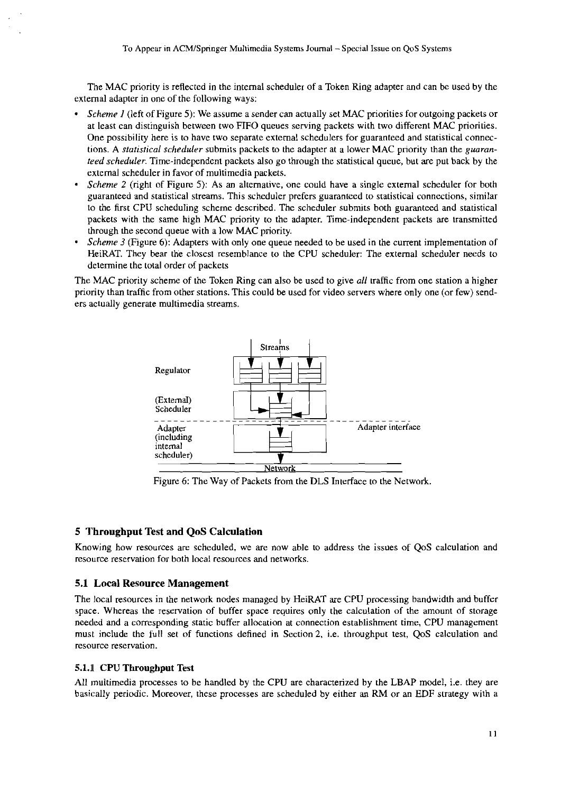The MAC priority is reflected in the intemal scheduler of a Token Ring adapter and can be used by the extemal adapter in one of the following ways:

- Scheme 1 (left of Figure 5): We assume a sender can actually set MAC priorities for outgoing packets or at least can distinguish between two FIFO queues serving packets with two different MAC priorities. One possibility here is to have two separate external schedulers for guaranteed and statistical connections. A statistical scheduler submits packets to the adapter at a lower MAC priority than the guaranteed scheduler. Time-independent packets also go through the statistical queue, but are put back by the external scheduler in favor of multimedia packets.
- Scheme 2 (right of Figure 5): As an alternative, one could have a single external scheduler for both guaranteed and statistical streams. This scheduler prefers guaranteed to statistical connections, similar to the first CPU scheduling scheme described. The scheduler submits both guaranteed and statistical packets with the same high MAC priority to the adapter. Time-independent packets are transmitted through the second queue with a low MAC pnority.
- Scheme 3 (Figure 6): Adapters with only one queue needed to be used in the current implementation of HeiRAT. They bear the closest resemblance to the CPU scheduler: The external scheduler needs to determine the total order of packets

The MAC priority scheme of the Token Ring can also **be** used to give oll traffic from one station a higher priority than traffic from other stations. This could be used for video Servers where only one (or few) senders actually generate multimedia streams.



Figure 6: The Way of Packets from the DLS Interface to the Network.

# **5 Throughput Test and QoS Calculation**

Knowing how resources are scheduled, we are now able to address the issues of QoS calculation and resource reservation for both local resources and networks.

# **5.1 Local Resource Management**

The local resources in the network nodes managed by HeiRAT are CPU processing bandwidth and buffer space. Whereas the reservation of buffer space requires only the calculation of the amount of storage neecled and a corresponding static huffer allocation at connection establishment time, CPU management must include the full set of functions defined in Section 2, i.e. throughput test, QoS calculation and resource reservation.

# 5.1.11 CPU **Throughput Test**

All multimedia processes to be handled by the CPU are characterized by the LBAP model, i.e. they are basically periodic. Moreover, these processes are scheduled by either an RM or an EDF strategy with a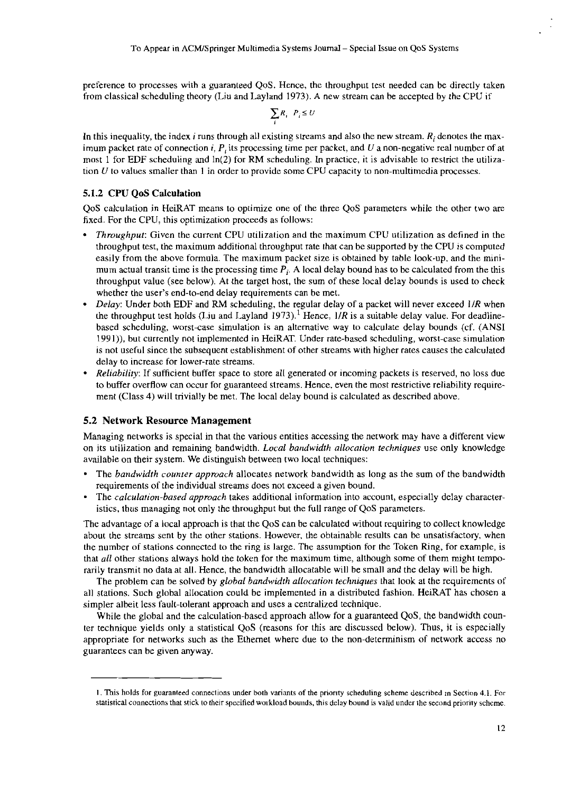preference to processes with a guaranteed QoS. Hence, the throughput test needed can be directly taken from classical scheduling theory (Liu and Layland 1973). **A** new stream can be accepted by the CPU if

$$
\sum_i R_i \cdot P_i \le U
$$

In this inequality, the index  $i$  runs through all existing streams and also the new stream.  $R_i$  denotes the maximum packet rate of connection i,  $P_i$  its processing time per packet, and U a non-negative real number of at most I for EDF scheduling and ln(2) for RM scheduling. In practice, it is advisable to restrict the utilization U to values smaller than 1 in order to provide some CPU capacity to non-multimedia processes.

# 5.1.2 CPU QoS CaIculation

QoS calculation in HeiRAT means to optimize one of the three QoS parameters while the other two are fixed. For the CPU, this optimization proceeds as follows:

- Throughput: Given the current CPU utilization and the maximum CPU utilization as defined in the throughput test, the maximum additional throughput rate that can be supported by the CPU is computed easily from the above fomula. The maximum packet size is obtained by table look-up, and the minimum actual transit time is the processing time  $P_i$ . A local delay bound has to be calculated from the this throughput value (sec below). At the target host, the sum of these local delay bounds is used to check whether the user's end-to-end delay requirements can be met.<br> *Delay*: Under both EDF and RM scheduling, the regular delay of a packet will never exceed  $1/R$  when
- the throughput test holds (Liu and Layland 1973).<sup>1</sup> Hence,  $1/R$  is a suitable delay value. For deadlinebased scheduling, worst-case simulation is an alternative way to calculate delay bounds (cf. (ANS1 1991)). but currently not implemented in HeiRAT. Under rate-based scheduling, worst-case simulation is not useful since the subsequent establishment of other streams with higher rates causes the calculated delay to increase for lower-rate streams.
- Reliability: If suficient buffer space to store all generated or incoming packets is reserved, no loss due to bufier overflow can occur for guaranteed streams. Hence, even the most restrictive reliability requirement (Class 4) will trivially be met. The local delay bound is calculated as described above.

# 5.2 Network Resource Management

Managing networks is special in that the various entities accessing the network may have a different view on its utilization and remaining bandwidth. Local bandwidth allocation techniques use only knowledge available on their system. We distinguish between two local techniques:

- The bandwidth counter approach allocates network bandwidth as long as the sum of the bandwidth requirements of the individual streams does not exceed a given bound.
- The *calculation-based approach* takes additional information into account, especially delay characteristics, thus managing not only the throughput but the full range of QoS parameters.

The advantage of a local approach is that the QoS can be calculated without requiring to collect knowledge about the streams sent by the other stations. However, the obtainable results can be unsatisfactory, when the number of stations connected to the ring is large. The assumption for the Token Ring, for cxample, is that all other stations always hold the token for the maximum time, although some of them might temporarily transmit no data at all. Hence, the bandwidth allocatable will be small and the delay will be high.

The problem can be solved by *global bandwidth allocation techniques* that look at the requirements of all stations. Such global allocation could be implemented in a distributed fashion. HeiRAT has chosen a simpler albeit less fault-tolerant approach and uses a centralized technique.

While the global and the calculation-based approach allow for a guaranteed QoS, the bandwidth counter technique yields only a statistical QoS (reasons for this are discussed below). Thus, it is especially appropriate for networks such as the Ethernet where due to the non-determinism of network access no guarantees can be given anyway.

<sup>1.</sup> This holds for guaranteed connections under both variants of the priority scheduling scheme described in Section 4.1. For statistical connections that stick to their specified workload bounds, this delay bound is valid under the second priority scheme.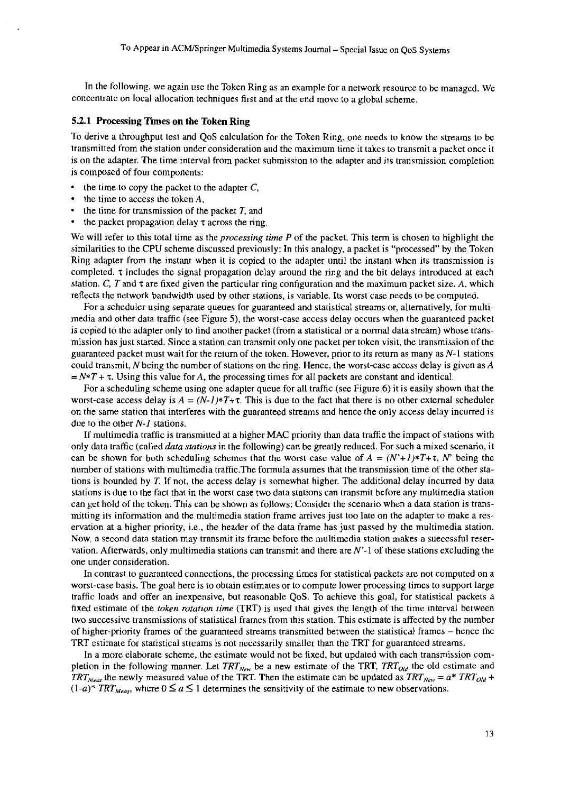In the following, we again use the Token Ring as an example for a network resource to be managed. We concentrate on local allocation techniques first and at the end move to a global scheme.

# **5.2.1 Processing Times on the Token Ring**

TO iderive a throughput test and QoS calculation for the Token Ring, one needs to know the streams to be transmitted from the station under consideration and the maximum time it takes to transmit a packet once it is on the adapter. The time interval from packet submission to the adapter and its transmission completion is composed of four components:

- the time to copy the packet to the adapter  $C$ ,  $\bullet$
- the time to access the token A.
- $\bullet$ the time for transmission of the packet *T,* and
- the packet propagation delay *7* across the ring.

We will refer to this total time as the processing time P of the packet. This term is chosen to highlight the similarities to the CPU scheme discussed previously: In this analogy, a packet is "processed" by the Token Ring: adapter from the instant when it is copied to the adapter until the instant when its transmission is completed.  $\tau$  includes the signal propagation delay around the ring and the bit delays introduced at each station. C,  $T$  and  $\tau$  are fixed given the particular ring configuration and the maximum packet size. A. which reflects the network bandwidth used by other stations, is variable. Its worst case needs to be computed.

For a scheduler using separate queues for guaranteed and statistical streams or, alternatively, for multimedia and other data traffic (See Figure **5),** the worst-case access delay occurs when the guaranteed packet is copied to the adapter only to find another packet (from a statistical or a normal data stream) whose transmission has just started. Since a station can transmit only one packet per token visit, the transmission of the guaranteed packet must wait for the retum of the token. However, prior to its retum as many as *N-1* stations could transmit,  $N$  being the number of stations on the ring. Hence, the worst-case access delay is given as  $A$  $N^*T + \tau$ . Using this value for A, the processing times for all packets are constant and identical.

Fora scheduling scheme using one adapter queue for all traffic (See Figure *6)* it is easily shown that the worst-case access delay is  $A = (N-1)*T+\tau$ . This is due to the fact that there is no other external scheduler on the Same station that interferes with the guaranteed streams and hence the only access delay incurred is due to the other *N-1* stations.

If multimedia traffic is transmitted at a higher MAC priority than data traffie the impact of stations with only data traffic (called *data stations* in the following) can be greatly reduced. For such a mixed scenario, it can be shown for both scheduling schemes that the worst case value of  $A = (N^+ + I)^*T + \tau$ , N' being the number of stations with multimedia traffic.The formula assumes that the transmission time of the other stations is bounded by **Z** If not, the access delay is somewhat higher. The additional delay incurred by data stations is due to the fact that in tbe worst case two data stations can transmit before any multimedia station can get hold of the token. This can be shown as follows: Consider the scenario when a data station is transmitting its information and the multimedia station frame arrives just too late on the adapter to make a reservation at a higher priority, i.e.. the header of the data frame has just passed by the multimedia station. Now. a second data station may transmit its frame before the multimedia station makes a suecessful reservation. Aftenvards, only multimedia stations can transmit and there are *N'-1* of these stations excluding the one under consideration.

In contrast to guaranteed connections, the processing times for statistical packets are not computed on a worsi.-case basis. The goal here is to obtain estimates or to compute lower processing times to support large traffic loads and offer an inexpensive, but reasonable QoS. To achieve this goal, for statistical packets a fixed estimate of the *token rotation time* (TRT) is used that gives the length of the time interval between two successive transmissions of statistical frames from this station. This estimate is affected by the number of higher-prionty frames of the guaranteed streams transmitted between the statistical frames - hence the TRT estimate for statistical streams is not necessarily smaller than the TRT for guaranteed streams.

In a more elaborate scheme, the estimate would not be fixed, but updated with each transmission completion in the following manner. Let  $TRT_{New}$  be a new estimate of the TRT,  $TRT_{old}$  the old estimate and *TRT<sub>Meas</sub>* the newly measured value of the TRT. Then the estimate can be updated as  $TRT_{New} = a^* TRT_{Old} +$  $(1-a)^*$  *TRT*<sub>Meas</sub>, where  $0 \le a \le 1$  determines the sensitivity of the estimate to new observations.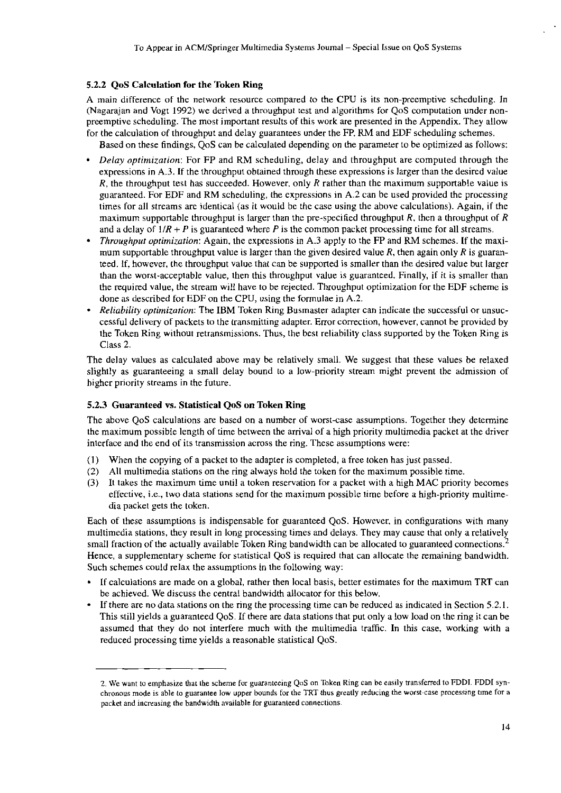# **5.2.2** QoS Calculation for the Token Ring

A main difference of the network resource compared to the CPU is its non-preemptive scheduling. In (Nagarajan and Vogt 1992) we derived a throughput test and algorithms for QoS computation under nonpreemptive scheduling. The most important results of this work are presented in the Appendix. They allow for the calculation of throughput and delay guarantees under the FP. RM and EDF scheduling schemes.

Based on these findings, QoS can be calculated depending on the parameter to be optimized as follows:

- *Delay optimization:* For FP and RM scheduling, delay and throughput are computed through the expressions in A.3. If the throughput obtained through these expressions is larger than the desired value *R,* the throughput test has succeeded. However. only R rather than the maximum supportable value is guaranteed. For EDF and RM scheduling, the expressions in A.2 can be used provided the processing times for all streams are identical (as it would be the case using the above calculations). Again, if the maximum supportable throughput is larger than the pre-specified throughput R, then a throughput of *R*  and a delay of  $1/R + P$  is guaranteed where P is the common packet processing time for all streams.
- *Throughput oprimization:* Again, the expressions in A.3 apply to the FP and RM schemes. If the maximum supportable throughput value is larger than the given desired value *R,* then again only *R* is guaranteed. If, however. the throughput value that can be supported is smaller than the desired value but larger than the worst-acceptable value, then this throughput value is guaranteed. Finally, if it is smaller than the required value, the stream will have to be rejected. Throughput optimization for the EDF scheme is done as described for EDF on the CPU, using the formulae in A.2.
- *Reliabilitj optimization:* The IBM Token Ring Busmaster adapter can indicate the successful or unsuccessful delivery of packets to the transmitting adapter. Error correction, however, cannot be provided by the Token Ring without retransmissions. Thus, the best reliability class supported by the Token Ring is Class 2.

The delay values as calculated above may be relatively small. We suggest that these values be relaxed slightly as guaranteeing a small delay bound to a low-priority stream might prevent the admission of higher priority streams in the future.

# **5.2.3** Guaranteed vs. Statistical QoS on Token Ring

The above QoS calculations are based on a number of worst-case assumptions. Together they determine the maximum possible length of time between the arrival of a high priority multimedia packet at the driver interface and the end of its transmission across the ring. These assumptions were:

- **(1)** When the copying of a packet to the adapter is completed, a free token has just passed.
- All multimedia stations on the ring always hold the token for the maximum possible time.
- **(3)** It takes the maximum time until a token reservation for a packet with a high MAC priority becomes effective, i.e., two data stations send for the maximum possible time before a high-priority multimedia packet gets the token.

Each of these assumptions is indispensable for guaranteed QoS. However. in configurations with many multimedia stations. they result in long processing times and delays. They may cause that only a relatively small fraction of the actually available Token Ring bandwidth can be allocated to guaranteed connections.<sup>2</sup> Hence, a supplementary scheme for statistical QoS is required that can allocate the remaining bandwidth. Such schemes could relax the assumptions in the following way:

- If calculations are made on a global, rather then local basis, better estimates for the maximum TRT can be achieved. We discuss the central bandwidth allocator for this below.
- If there are no data stations on the ring the processing time can be reduced as indicated in Section 5.2.1. This still yields a guaranteed QoS. If there are data stations that put only a low load on the ring it can be assumed that they do not interfere much with the multimedia trafic. In this case, working with a reduced processing time yields a reasonable statistical QoS.

*<sup>2.</sup>* We want ta emphasiae thal ihe schemc **for** guaranteeing QoS **on** Token Ring can be easily transferred to FDDl FDDI synchronous made is able to guaraniee **low** upper bounds for the TRT thus greatly reducing the worst-case processing time for **<sup>u</sup>** packet and increasing the bandwidth available for guaranteed connections.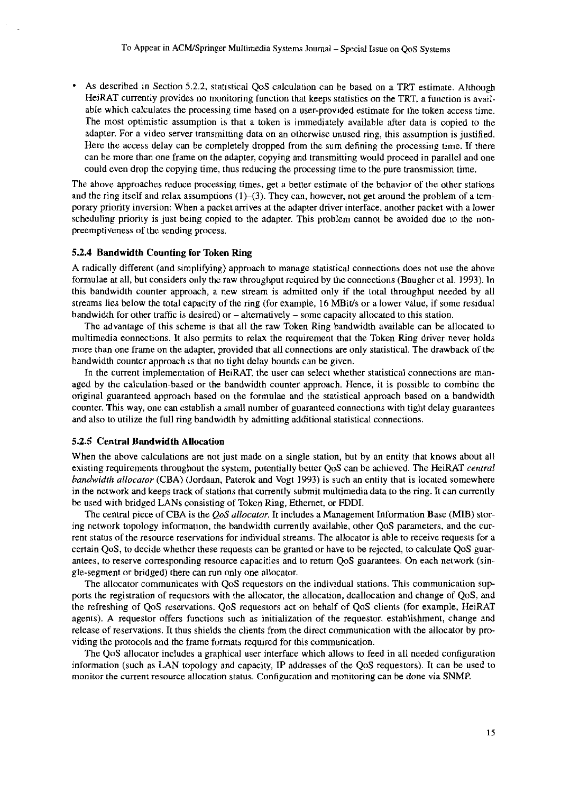As described in Section 5.2.2, statistical QoS calculation can be based on a TRT estimate. Although HeiRAT currently provides no monitoring function that keeps statistics on the TRT, a function is available which calculates the processing time based on a user-provided estimate for the token access time. The most optimistic assumption is that a token is immediately available after data is copied to the adapter. For a video server transmitting data on an otherwise unused ring, this assumption is justified. Here the access delay can be completely dropped from the sum defining the processing time. If there can be more than one frame on the adapter, copying and transmitting would proceed in parallel and one could even drop the copying time, thus reducing the processing time to the pure transmission time.

The above approaches reduce processing times, get a better estimate of the behavior of the other stations and the ring itself and relax assumptions  $(1)$ - $(3)$ . They can, however, not get around the problem of a temporary priority inversion: When a packet arrives at the adapter driver interface, another packet with a lower scheduling priority is just being copied to the adapter. This problem cannot be avoided due to the nonpreemptiveness of the sending process.

## 5.2.4 Bandwidth Counting for Token Ring

A radically different (and simplifying) approach to manage statistical connections does not use the above fomulae at all, but considers only the raw throughput required by the connections (Baugher et al. 1993). In this handwidth Counter approach, a new stream is admitted only if the total throughput needed by all streams lies below the total capacity of the ring (for example, 16 MBit/s or a lower value, if some residual bandwidth for other traffic is desired) or  $-$  alternatively  $-$  some capacity allocated to this station.

The advantage of this scheme is that all the raw Token Ring bandwidth available can be allocated to multimedia eonnections. It also permits to relax the requirement that the Token Ring driver never holds more than one frame on the adapter, provided that all connections are only statistical. The drawback of the bandwidth counter approach is that no tight delay bounds can be given.

In the current implementation of HeiRAT, the user can select whether statistical connections are managed by the calculation-hased or the handwidth counter approach. Hence, it is possible to combine the origiinal guaranteed approach based on the formulae and the statistical approach based on a bandwidth counter. This way, one can establish a small number of guaranteed connections with tight delay guarantees and also to utilize the full ring bandwidth by admitting additional statistical connections.

### 5.2.5 Central Bandwidth Allocation

When the above calculations are not just made on a single station, but by an entity that knows about all existing requirements throughout the System, potentially better QoS can he achieved. The HeiRAT *central bandwidth allocator* (CBA) (Jordaan, Paterok and Vogt 1993) is such an entity that is located somewhere in the network and keeps track of stations that currently submit multimedia data to the ring. It can currently be used with bridged LANs consisting of Token Ring. Ethernet, or FDDI.

The central piece of CBA is the *QoS allocator.* It includes a Management Information Base (MIB) storing rietwork topology information, the bandwidth currently available, other QoS parameters, and the current status of the resource reservations for individual streams. The allocator is able to receive requests for a certain QoS, to decide whether these requests can be granted or have to be rejected, to calculate QoS guarantees, to reserve corresponding resource capacities and to return QoS guarantees. On each network (single-segment or bridged) there can run only one allocator.

The allocator communicates with QoS requestors on the individual stations. This communication supports the registration of requestors with the allocator, the allocation, deallocation and change of QoS, and the reireshing of QoS reservaiions. QoS requestors act on behalf of QoS clients (for example, HeiRAT agenis). A requestor offers functions such as initialization of the requestor. establishment, change and release of reservations. It thus shields the clients from the direct communication with the allocator by providing the protocols and the frame formats required for tbis communication.

The QoS allocator includes a graphical user interface which allows to feed in all needed configuration inforination (such as LAN topology and capacity, IP addresses of the QoS requestors). It can be used to moniior the current resource allocation Status. Configuration and monitoring can be done via SNMP.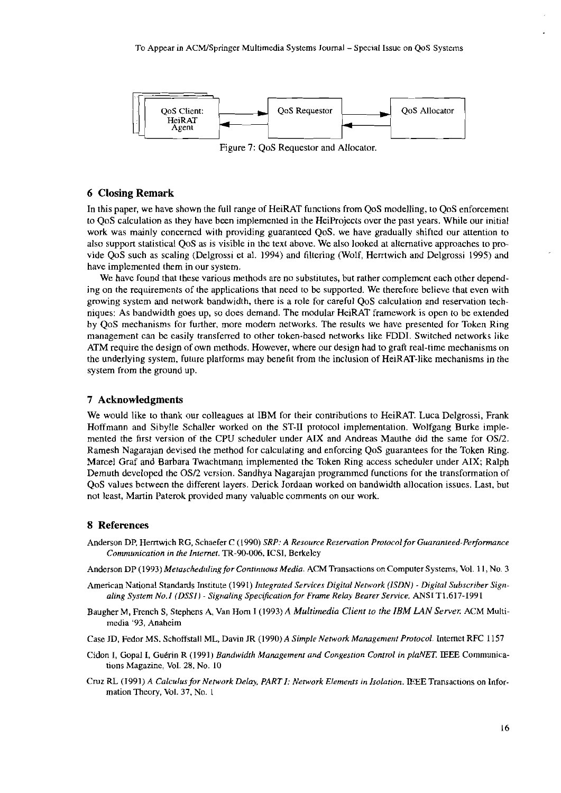

Figure 7: QoS Requestor and Allocator.

## **6 Closing Remark**

In this paper, we have shown the full range of HeiRAT functions from OoS modelling, to OoS enforcement to QoS calculation as they have been implemented in the HeiProjects over the past years. While our initial work was mainly concerned with providing guaranteed QoS, we have gradually shifted our attention to also support statistical QoS as is visible in the text above. We also looked at alternative approaches to provide QoS such as scaling (Delgrossi et al. 1994) and filtering (Wolf, Hemwich and Delgrossi 1995) and have implemented them in our system.

We have found that these various methods are no substitutes, but rather complement each other depending on the requirements of the applications that need tobe supported. We therefore believe that even with growing system and network bandwidth, there is a role for careful QoS calculation and reservation techniques: As bandwidth goes up, so does dernand. The modular HeiRAT frarnework is Open to be extended by QoS rnechanisms for further, more modern networks. The results we have presented for Token Ring management can be easily transferred to other token-based networks like FDDI. Switched networks like ATM require the design of own methods. However, where our design had to graft real-time mechanisms on the underlying system, fulure platforms rnay benefit from the inclusion of HeiRAT-like mechanisrns in the system from the ground up.

#### **7 Acknowledgments**

We would like to thank our colleagues at IBM for their contributions to HeiRAT. Luca Delgrossi, Frank Hoffmann and Sibylle Schaller worked on the ST-I1 protocol implernentation. Wolfgang Burke implemented the first version of the CPU scheduler under AIX and Andreas Mauthe did the same for OS/2. Rarnesh Nagarajan devised the method for calculating and enforcing QoS guarantees for the Token Ring. Marcel Graf and Barbara Twachtmann implemented the Token Ring access scheduler under AIX; Ralph Demuth developed the OS/2 version. Sandhya Nagarajan programmed functions for the transformation of QoS values between the different layers. Derick Jordaan worked on bandwidth allocation issues. Last, but not least, Martin Paterok provided many valuable comments on our work.

### **8 References**

- Anderson DP. Herrrwich RG. Schaefer C (1990) *SRP: A Resource Reservation Pmrocol for Guaranteed-Performance Communication in the Interner.* TR-90-006, ICSI, Berkeley
- Anderson DP (1993) *Metaschedriling for Contlnuous Media* ACM Transactions on Computer Systems, Vol. 11, No. **3**
- American National Standards Institute (1991) *Integrated Services Digital Network (ISDN) Digital Subscriber Signaling System No.1 (DSSII* - *Sigruiling Spec\*ation for Frame Relay Bearer Service,* ANS1 T1.617-1991
- Baugher M. French S, Stephens A. Van Horn 1 (1993) *A Multimedia Clienr to the 1BM* LAN *Server.* ACM Multimedia '93, Anaheim
- Case JD, Fedor MS. Schoffstall ML, Davin IR (1990) *A Simple Nehvork Mamgenzenl Pmrocol.* Internet RFC 1157
- Cidon I, Gopal I, Guérin R (1991) *Bandwidth Management and Congestion Control in plaNET*. IEEE Communications Magazine, VoI. **28,** No. 10
- **Cmz** RL (1991) *A Calculus for Network Delax, PARTI: Network Elements in Isolation. IEEE* Transactions on Information Theory, Vol. 37, No. I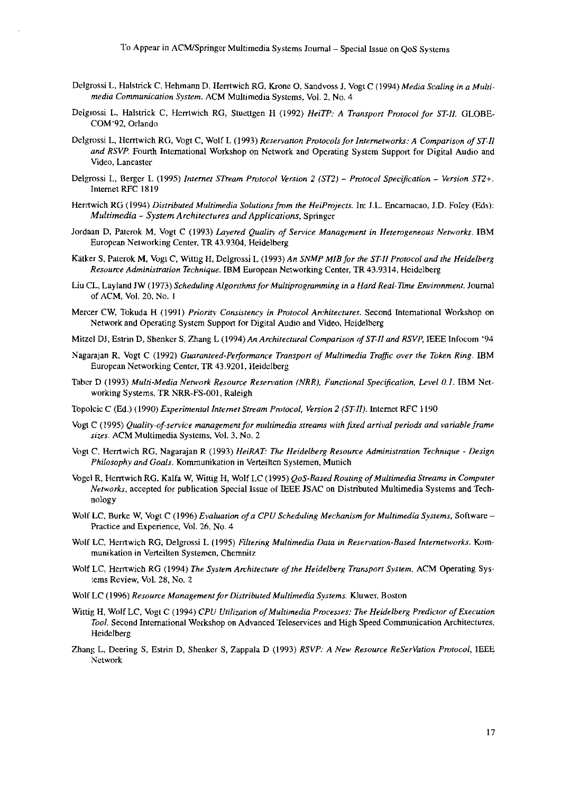- Delgrossi L, Halstrick C, Hehmann D, Herrtwich RG, Krone O, Sandvoss J, Vogt C (1994) Media Scaling in a Multimedia Communication System. ACM Multimedia Systems, Vol. 2, No. 4
- Delgrossi L. Halstrick C, Herrtwich RG, Stuettgen H (1992) HeiTP: A Transport Protocol for ST-II. GLOBE-COM'92, Orlando
- Delgrossi L. Herrtwich RG, Vogt C, Wolf L (1993) Reservation Protocols for Internetworks: A Comparison of ST-II and RSVP Fourth International Workshop on Network and Operating System Support for Digital Audio and Video, Lancaster
- Delgrossi L, Berger L (1995) Internet STream Protocol Version 2 (ST2) Protocol Specification Version ST2+. Internet RFC 1819
- Heritwich RG (1994) Distributed Multimedia Solutions from the HeiProjects. In: J.L. Encarnacao, J.D. Foley (Eds): Multimedia - System Architectures and Applications, Springer
- Jordaan D. Paterok M. Vogt C (1993) Layered Quality of Service Management in Heterogeneous Networks. IBM European Networking Center. TR 43.9304. Heidelberg
- Kätker S, Paterok M, Vogt C, Wittig H. Delgrossi L (1993) An SNMP MIB for rhe ST-I1 Protocol and the Heidelberg Resource Administration Technique. IBM European Networking Center, TR 43.9314. Heidelberg
- Liu CL, Layland JW (1973) Scheduling Algorithms for Multiprogramming in a Hard Real-Time Environment. Journal of ACM, Vol. 20. No. 1
- Mercer CW, Tokuda H (1991) Priority Consistency in Protocol Architectures. Second International Workshop on Network and Operating System Support for Digital Audio and Video, Heidelberg
- Mitzel DJ, Estrin D, Shenker S, Zhang L (1994) An Architectural Comparison of ST-II and RSVP, IEEE Infocom '94
- Nagarajan R. Vogt C (1992) Guaranteed-Performance Transport of Multimedia Traffic over the Token Ring. IBM European Networking Center, **TR** 43.9201, Heidelberg
- Taber D (1993) Multi-Media Network Resource Reservation (NRR), Functional Specification, Level 0.1. IBM Networking Systems. TR NRR-FS-001, Raleigh
- Topolcic C (Ed.) (1990) Experimental Interner Stream Pmrocol, Version 2 (ST-11). Internet RFC 1 190
- Vogt C (1995) Quality-of-service management for multimedia streams with fixed arrival periods and variable frame sizes. ACM Multimedia Systems, Vol. 3. No. 2
- Vogt C. Herrtwich RG, Nagarajan R (1993) HeiRAT: The Heidelberg Resource Administration Technique Design Philosophy and Goals. Kommunikation in Verteilten Systemen, Munich
- Vogel R, Herrtwich RG, Kalfa W, Wittig H, Wolf LC (1995) QoS-Based Routing of Multimedia Streams in Computer Nemorks. accepted for publication Special Issue of EEE JSAC on Distributed Multimedia Systems and Technology
- Wolf LC, Burke W, Vogt C (1996) Evaluation of a CPU Scheduling Mechanism for Multimedia Systems, Software -Practice and Experience, Vol. 26, No. 4
- Wolf LC, Herrtwich RG, Delgrossi L (1995) Filtering Multimedia Data in Reservation-Based Internetworks. Kommunikation in Veneilten Systemen, Chemnitz
- Wolf LC, Herrtwich RG (1994) The System Architecture of the Heidelberg Transport System. ACM Operating Systems Review, Vol. 28, No. 2
- Wolf LC (1996) Resource Management for Disfributed Mulrimedia Systems. Kluwer, Boston
- Wittig H, Wolf LC, Vogt C (1994) CPU Utilization of Multimedia Processes: The Heidelberg Predictor of Execution Tool. Second International Workshop on Advanced Teleservices and High Speed Communication Architectures. Heidelberg
- Zhang L, Deering S, Estrin D, Shenker S, Zappala D (1993) RSVP: A New Resource ReSerVation Protocol, 1EEE Network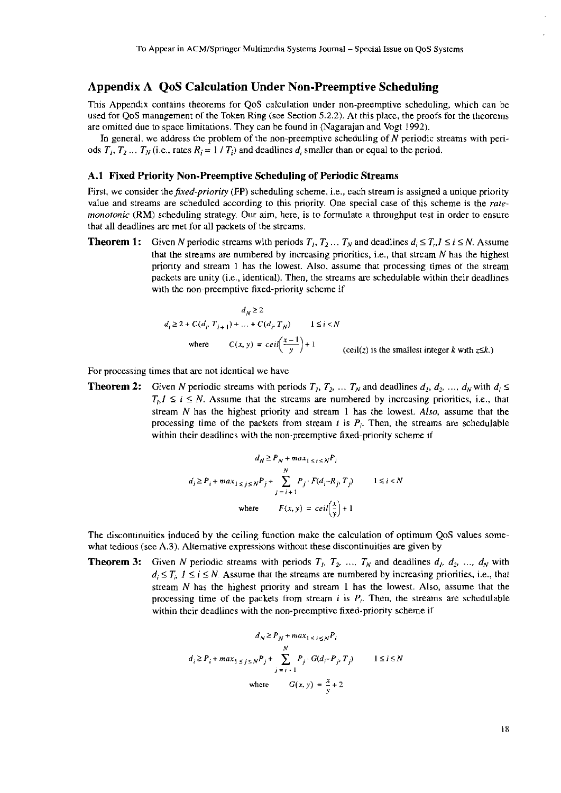# **Appendix A QoS Calculation Under Non-Preemptive Scheduling**

This Appendix contains theorems for QoS calculation under non-preemptive scheduling, which can be used for QoS management of the Token Ring (see Section *5.2.2).* At this place, the proofs for the theorems are omitted due to space limitations. They can be found in (Nagarajan and Vogt 1992).

In general, we address the problem of the non-preemptive scheduling of  $N$  periodic streams with periods  $T_1, T_2, \ldots, T_N$  (i.e., rates  $R_i = 1 / T_i$ ) and deadlines  $d_i$  smaller than or equal to the period.

### **A.l Fixed Priority Non-Preemptive Scheduling of Periodic Streams**

First, we consider the *fixed-priority* (FP) scheduling scheme, i.e., each stream is assigned a unique priority value and streams are scheduled according to this priority. One special case of this scheme is the *rare*monotonic (RM) scheduling strategy. Our aim, here, is to formulate a throughput test in order to ensure that all deadlines are met for all packets of the streams.

**Theorem 1:** Given N periodic streams with periods  $T_1, T_2, \ldots, T_N$  and deadlines  $d_i \leq T_p$ ,  $1 \leq i \leq N$ . Assume that the streams are numbered by increasing priorities, i.e., that stream N has the highest priority and stream 1 has the lowest. Also. assume that processing times of the slream packets are unity (i.e., identical). Then, the streams are schedulable within their deadlines with the non-preemptive fixed-priority scheme if

$$
d_N \ge 2
$$
  
\n
$$
d_i \ge 2 + C(d_i, T_{i+1}) + ... + C(d_i, T_N)
$$
  
\n
$$
1 \le i < N
$$
  
\nwhere 
$$
C(x, y) = ce^{i\ell} \left( \frac{x-1}{y} \right) + 1
$$
  
\n
$$
(ceil(z) \text{ is the smallest integer } k \text{ with } z \le k.)
$$

For processing times that are not identical we have

**Theorem 2:** Given N periodic streams with periods  $T_1, T_2, \ldots, T_N$  and deadlines  $d_1, d_2, \ldots, d_N$  with  $d_i \leq$  $T_i$ ,  $1 \le i \le N$ . Assume that the streams are numbered by increasing priorities, i.e., that stream N has the highest priority and stream 1 has the lowest. Also, assume that the processing time of the packets from stream i is  $P_i$ . Then, the streams are schedulable within their deadlines with the non-preemptive fixed-priority scheme if

$$
d_N \ge P_N + max_{1 \le i \le N} P_i
$$
  

$$
d_i \ge P_i + max_{1 \le j \le N} P_j + \sum_{j=i+1}^{N} P_j \cdot F(d_i - R_j, T_j) \qquad 1 \le i < N
$$
  
where 
$$
F(x, y) = ceil\left(\frac{x}{y}\right) + 1
$$

The discontinuities induced by the ceiling function make the calculation of optimum QoS valucs somewhat tedious (see A.3). Alternative expressions without these discontinuities are given by

**Theorem 3:** Given N periodic streams with periods  $T_1$ ,  $T_2$ , ...,  $T_N$  and deadlines  $d_1$ ,  $d_2$ , ...,  $d_N$  with  $d_i \leq T_p$ ,  $1 \leq i \leq N$ . Assume that the streams are numbered by increasing priorities, i.e., that stream N has the highest priority and stream 1 has the lowest. Also, assume that the processing time of the packets from stream i is  $P_i$ . Then, the streams are schedulable within their deadlines with the non-preemptive fixed-priority scheme if

$$
d_N \ge P_N + \max_{1 \le i \le N} P_i
$$
  

$$
d_i \ge P_i + \max_{1 \le j \le N} P_j + \sum_{j=i+1}^{N} P_j \cdot G(d_i - P_j, T_j) \qquad 1 \le i \le N
$$
  
where 
$$
G(x, y) = \frac{x}{y} + 2
$$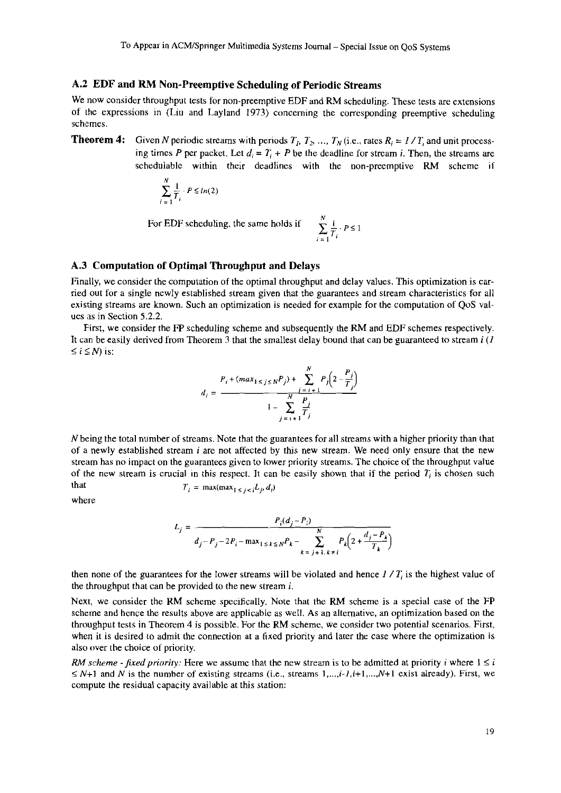# **A.2 EDF and RM Non-Preemptive Scheduling of Periodic Streams**

We now consider throughput tests for non-preemptive EDF and RM scheduling. These tests are extensions of the expressions in (Liu and Layland 1973) conceming the corresponding preernptive scheduling schemes.

**Theorem 4:** Given N periodic streams with periods  $T_1, T_2, ..., T_N$  (i.e., rates  $R_i = I/T$ , and unit processing times P per packet. Let  $d_i = T_i + P$  be the deadline for stream i. Then, the streams are schedulable within their deadlines with the non-preernptive **RM** scheme if

$$
\sum_{i=1}^{N} \frac{1}{T_i} \cdot P \leq ln(2)
$$

For EDF scheduling, the same holds if

$$
\sum_{i=1}^{N} \frac{1}{T_i} \cdot P \le 1
$$

# **A.3 Computation of Optimal Throughput and Delays**

Finally, we consider the computation of the optimal throughput and delay values. This optimization is carried out for a Single newly established stream given that the guarantees and strearn characteristics for all existing streams are known. Such an optimization is needed for exarnple for the cornputation of QoS values as in Section 5.2.2.

First, we consider the **FP** scheduling scheme and subsequently the RM and EDF schemes respectively. It can be easily derived from Theorem 3 that the smallest delay bound that can be guaranteed to stream  $i$  ( $I$  $\leq i \leq N$  is:

$$
d_i = \frac{P_i + (max_{1 \le j \le N} P_j) + \sum_{j=i+1}^{N} P_j \left(2 - \frac{P_j}{T_j}\right)}{1 - \sum_{j=i+1}^{N} \frac{P_j}{T_j}}
$$

Nbeing the total number of streams. Note that the guarantees for all streams with a higher priority than that of a newly established stream  $i$  are not affected by this new stream. We need only ensure that the new stream has no impact on the guarantees given to lower priority streams. The choice of the throughput value of the new stream is crucial in this respect. It can be easily shown that if the period  $T<sub>i</sub>$  is chosen such that  $T_i = \max(\max_{1 \leq j < i} L_j, d_j)$ 

where

$$
L_j = \frac{P_i(d_j - P_i)}{d_j - P_j - 2P_i - \max_{1 \le k \le N} P_k - \sum_{k=j+1, k \ne i}^{N} P_k \left(2 + \frac{d_j - P_k}{T_k}\right)}
$$

then none of the guarantees for the lower streams will be violated and hence  $I / T_i$  is the highest value of the throughput that can be provided to the new stream  $i$ .

Next, we consider the RM scheme specifically. Note that the RM scheme is a special case of the FP scherne and hence the results above are applicable as well. As an alternative, an optimization based on the throughput tests in Theorem 4 is possible. For the RM scheme. we consider two potential Scenarios. First, when it is desired to admit the connection at a fixed priority and later the case where the optimization is also over the choice of priority.

RM scheme  $\cdot$  *fixed priority:* Here we assume that the new stream is to be admitted at priority *i* where  $1 \leq i$  $\leq N+1$  and N is the number of existing streams (i.e., streams 1,...,*i-1*,*i+1*,..., $N+1$  exist already). First, we compute the residual capacity available at this station: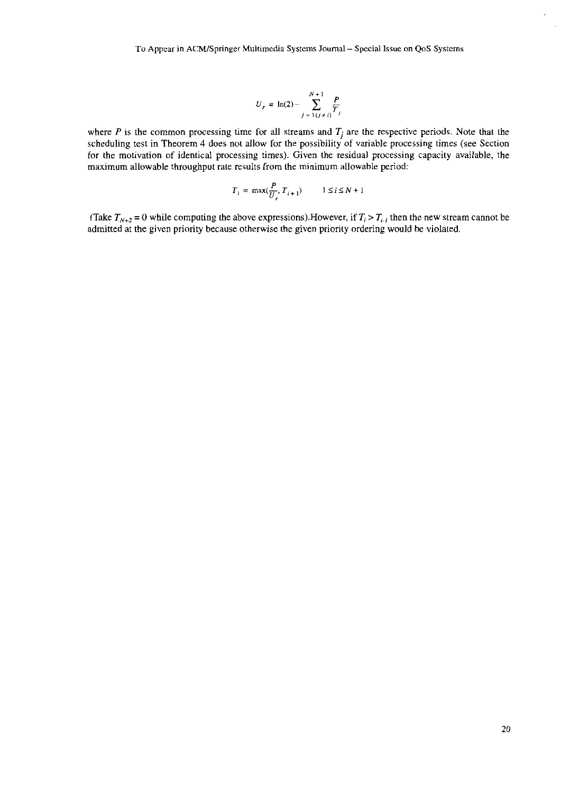$$
U_r = \ln(2) - \sum_{j=1}^{N+1} \frac{P}{T_j}
$$

where P is the common processing time for all streams and  $T_j$  are the respective periods. Note that the scheduling test in Theorem 4 does not allow for the possibility of variable processing times (see Section for the motivation of identical processing times). Given the residual processing capacity availahle, the maximum allowahle throughput rate results from the minimum allowahle period:

$$
T_i = \max(\frac{P}{U_r}, T_{i+1}) \qquad 1 \le i \le N+1
$$

(Take  $T_{N+2} = 0$  while computing the above expressions). However, if  $T_i > T_{i-1}$  then the new stream cannot be admitted at the given priority hecause otherwise the given priority ordering would be violated.